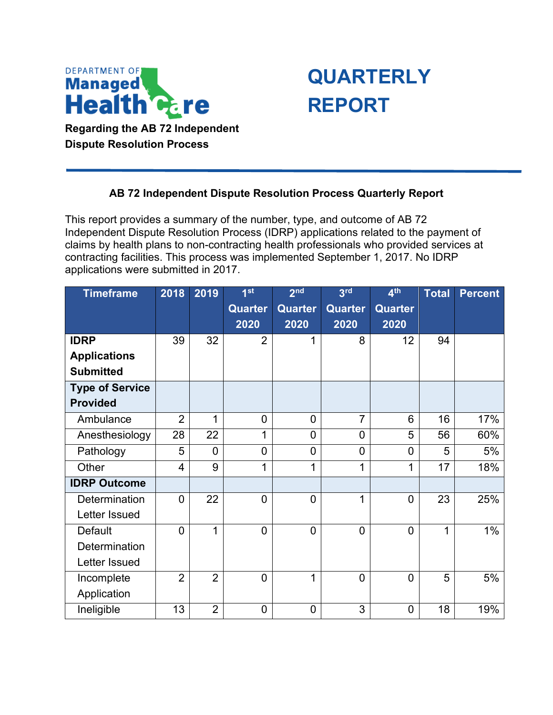

**Dispute Resolution Process** 



## **AB 72 Independent Dispute Resolution Process Quarterly Report**

 This report provides a summary of the number, type, and outcome of AB 72 contracting facilities. This process was implemented September 1, 2017. No IDRP Independent Dispute Resolution Process (IDRP) applications related to the payment of claims by health plans to non-contracting health professionals who provided services at applications were submitted in 2017.

| <b>Timeframe</b>       | 2018           | 2019           | 1st            | 2 <sub>nd</sub> | 3 <sup>rd</sup> | 4 <sup>th</sup> | <b>Total</b> | <b>Percent</b> |
|------------------------|----------------|----------------|----------------|-----------------|-----------------|-----------------|--------------|----------------|
|                        |                |                | <b>Quarter</b> | <b>Quarter</b>  | <b>Quarter</b>  | <b>Quarter</b>  |              |                |
|                        |                |                | 2020           | 2020            | 2020            | 2020            |              |                |
| <b>IDRP</b>            | 39             | 32             | $\overline{2}$ | 1               | 8               | 12              | 94           |                |
| <b>Applications</b>    |                |                |                |                 |                 |                 |              |                |
| <b>Submitted</b>       |                |                |                |                 |                 |                 |              |                |
| <b>Type of Service</b> |                |                |                |                 |                 |                 |              |                |
| <b>Provided</b>        |                |                |                |                 |                 |                 |              |                |
| Ambulance              | $\overline{2}$ | 1              | $\mathbf 0$    | $\mathbf 0$     | 7               | 6               | 16           | 17%            |
| Anesthesiology         | 28             | 22             | 1              | $\mathbf 0$     | 0               | 5               | 56           | 60%            |
| Pathology              | 5              | $\overline{0}$ | $\mathbf 0$    | $\mathbf 0$     | 0               | $\overline{0}$  | 5            | 5%             |
| Other                  | 4              | 9              | 1              | 1               | 1               | 1               | 17           | 18%            |
| <b>IDRP Outcome</b>    |                |                |                |                 |                 |                 |              |                |
| Determination          | $\overline{0}$ | 22             | $\mathbf 0$    | $\mathbf 0$     | 1               | $\overline{0}$  | 23           | 25%            |
| Letter Issued          |                |                |                |                 |                 |                 |              |                |
| <b>Default</b>         | $\overline{0}$ | 1              | $\overline{0}$ | $\overline{0}$  | $\overline{0}$  | $\overline{0}$  | 1            | 1%             |
| Determination          |                |                |                |                 |                 |                 |              |                |
| Letter Issued          |                |                |                |                 |                 |                 |              |                |
| Incomplete             | $\overline{2}$ | $\overline{2}$ | $\mathbf 0$    | 1               | $\mathbf 0$     | $\overline{0}$  | 5            | 5%             |
| Application            |                |                |                |                 |                 |                 |              |                |
| Ineligible             | 13             | $\overline{2}$ | $\mathbf 0$    | 0               | 3               | $\overline{0}$  | 18           | 19%            |